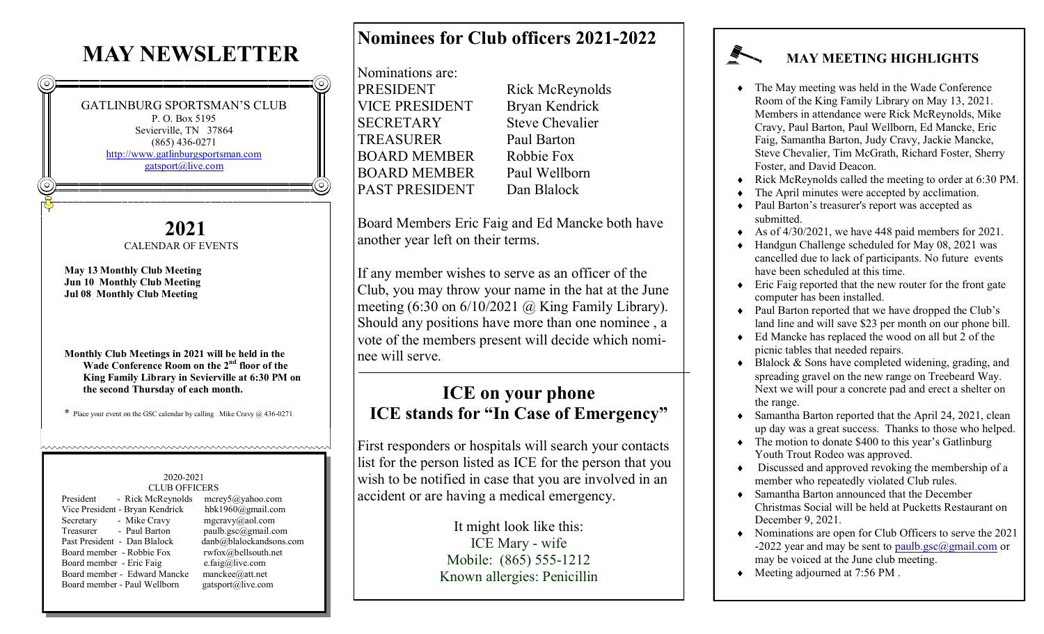# **MAY NEWSLETTER**

GATLINBURG SPORTSMAN'S CLUB P. O. Box 5195 Sevierville, TN 37864 (865) 436-0271 <http://www.gatlinburgsportsman.com> [gatsport@live.com](mailto:gatsport@live.com)

> **2021** CALENDAR OF EVENTS

**May 13 Monthly Club Meeting Jun 10 Monthly Club Meeting Jul 08 Monthly Club Meeting**

**Monthly Club Meetings in 2021 will be held in the Wade Conference Room on the 2nd floor of the King Family Library in Sevierville at 6:30 PM on the second Thursday of each month.**

**\*** Place your event on the GSC calendar by calling Mike Cravy @ 436-0271

https://www.androident.com/www.androident.com/www.androident.com/www.androident.

### 2020-2021 CLUB OFFICERS

| President<br>- Rick McReynolds  | 1          |
|---------------------------------|------------|
| Vice President - Bryan Kendrick |            |
| - Mike Cravy<br>Secretary       | Ť          |
| Treasurer<br>- Paul Barton      | ľ          |
| Past President - Dan Blalock    | d          |
| Board member - Robbie Fox       | ť          |
| Board member - Eric Faig        | $\epsilon$ |
| Board member - Edward Mancke    | n          |
| Board member - Paul Wellborn    | g          |
|                                 |            |

mcrey5@yahoo.com hbk1960@gmail.com mgcravy@aol.com paulb.gsc@gmail.com  $\text{lambda} \omega$ blalockandsons.com  $w$ fox $@$ bellsouth.net  $\text{e.faig@live.com}$ manckee@att.net gatsport@live.com

## **Nominees for Club officers 2021-2022**

| Nominations are:      |              |
|-----------------------|--------------|
| PRESIDENT             | Rick         |
| <b>VICE PRESIDENT</b> | Brya         |
| <b>SECRETARY</b>      | <b>Steve</b> |
| <b>TREASURER</b>      | Paul         |
| <b>BOARD MEMBER</b>   | Robb         |
| <b>BOARD MEMBER</b>   | Paul         |
| <b>PAST PRESIDENT</b> | Dan          |
|                       |              |

McReynolds In Kendrick e Chevalier **Barton** bie Fox Wellborn **Blalock** 

Board Members Eric Faig and Ed Mancke both have another year left on their terms.

If any member wishes to serve as an officer of the Club, you may throw your name in the hat at the June meeting  $(6:30 \text{ on } 6/10/2021 \text{ (a) King Family Library)}.$ Should any positions have more than one nominee , a vote of the members present will decide which nominee will serve.

## **ICE on your phone ICE stands for "In Case of Emergency"**

First responders or hospitals will search your contacts list for the person listed as ICE for the person that you wish to be notified in case that you are involved in an accident or are having a medical emergency.

> It might look like this: ICE Mary - wife Mobile: (865) 555-1212 Known allergies: Penicillin

## **MAY MEETING HIGHLIGHTS**

- The May meeting was held in the Wade Conference Room of the King Family Library on May 13, 2021. Members in attendance were Rick McReynolds, Mike Cravy, Paul Barton, Paul Wellborn, Ed Mancke, Eric Faig, Samantha Barton, Judy Cravy, Jackie Mancke, Steve Chevalier, Tim McGrath, Richard Foster, Sherry Foster, and David Deacon.
- Rick McReynolds called the meeting to order at 6:30 PM.
- The April minutes were accepted by acclimation.
- Paul Barton's treasurer's report was accepted as submitted.
- As of 4/30/2021, we have 448 paid members for 2021.
- Handgun Challenge scheduled for May 08, 2021 was cancelled due to lack of participants. No future events have been scheduled at this time.
- Eric Faig reported that the new router for the front gate computer has been installed.
- Paul Barton reported that we have dropped the Club's land line and will save \$23 per month on our phone bill.
- Ed Mancke has replaced the wood on all but 2 of the picnic tables that needed repairs.
- $\triangle$  Blalock & Sons have completed widening, grading, and spreading gravel on the new range on Treebeard Way. Next we will pour a concrete pad and erect a shelter on the range.
- Samantha Barton reported that the April 24, 2021, clean up day was a great success. Thanks to those who helped.
- The motion to donate \$400 to this year's Gatlinburg Youth Trout Rodeo was approved.
- Discussed and approved revoking the membership of a member who repeatedly violated Club rules.
- Samantha Barton announced that the December Christmas Social will be held at Pucketts Restaurant on December 9, 2021.
- Nominations are open for Club Officers to serve the 2021 -2022 year and may be sent to [paulb.gsc@gmail.com](mailto:Paulb.gsc@gmail.com) or may be voiced at the June club meeting.
- Meeting adjourned at 7:56 PM.